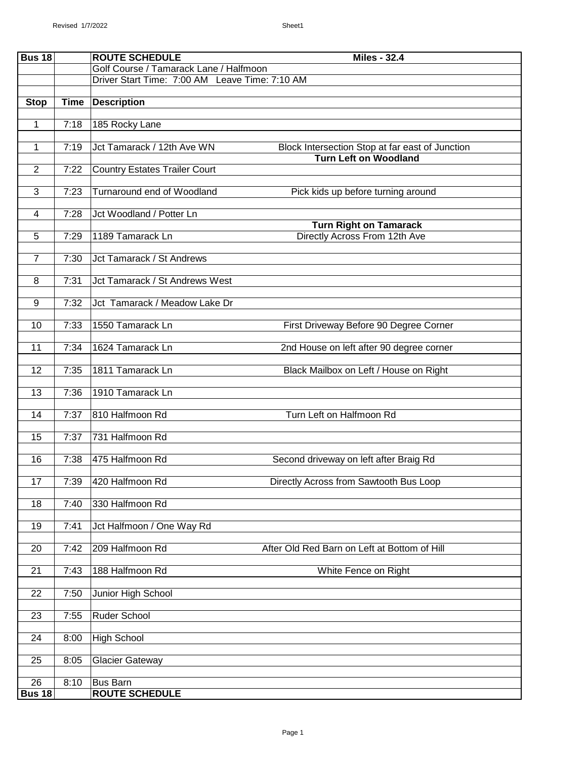| <b>Bus 18</b>  |             | <b>ROUTE SCHEDULE</b><br><b>Miles - 32.4</b>                                       |
|----------------|-------------|------------------------------------------------------------------------------------|
|                |             | Golf Course / Tamarack Lane / Halfmoon                                             |
|                |             | Driver Start Time: 7:00 AM Leave Time: 7:10 AM                                     |
| <b>Stop</b>    | <b>Time</b> | <b>Description</b>                                                                 |
| 1              | 7:18        | 185 Rocky Lane                                                                     |
| 1              | 7:19        | Jct Tamarack / 12th Ave WN<br>Block Intersection Stop at far east of Junction      |
| $\overline{2}$ | 7:22        | <b>Turn Left on Woodland</b><br><b>Country Estates Trailer Court</b>               |
| $\overline{3}$ | 7:23        | Turnaround end of Woodland<br>Pick kids up before turning around                   |
| $\overline{4}$ | 7:28        | Jct Woodland / Potter Ln                                                           |
| 5              | 7:29        | <b>Turn Right on Tamarack</b><br>1189 Tamarack Ln<br>Directly Across From 12th Ave |
| $\overline{7}$ | 7:30        | Jct Tamarack / St Andrews                                                          |
| 8              | 7:31        | Jct Tamarack / St Andrews West                                                     |
| 9              | 7:32        | Jct Tamarack / Meadow Lake Dr                                                      |
|                |             |                                                                                    |
| 10             | 7:33        | 1550 Tamarack Ln<br>First Driveway Before 90 Degree Corner                         |
| 11             | 7:34        | 1624 Tamarack Ln<br>2nd House on left after 90 degree corner                       |
| 12             | 7:35        | 1811 Tamarack Ln<br>Black Mailbox on Left / House on Right                         |
| 13             | 7:36        | 1910 Tamarack Ln                                                                   |
| 14             | 7:37        | 810 Halfmoon Rd<br>Turn Left on Halfmoon Rd                                        |
| 15             | 7:37        | 731 Halfmoon Rd                                                                    |
| 16             | 7:38        | 475 Halfmoon Rd<br>Second driveway on left after Braig Rd                          |
| 17             | 7:39        | 420 Halfmoon Rd<br>Directly Across from Sawtooth Bus Loop                          |
| 18             | 7:40        | 330 Halfmoon Rd                                                                    |
| 19             | 7:41        | Jct Halfmoon / One Way Rd                                                          |
| 20             | 7:42        | 209 Halfmoon Rd<br>After Old Red Barn on Left at Bottom of Hill                    |
| 21             | 7:43        | 188 Halfmoon Rd<br>White Fence on Right                                            |
| 22             | 7:50        | Junior High School                                                                 |
| 23             | 7:55        | Ruder School                                                                       |
| 24             | 8:00        | <b>High School</b>                                                                 |
| 25             | 8:05        | <b>Glacier Gateway</b>                                                             |
| 26             | 8:10        | <b>Bus Barn</b>                                                                    |
| <b>Bus 18</b>  |             | <b>ROUTE SCHEDULE</b>                                                              |